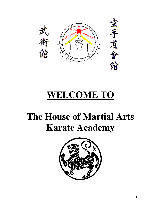

# **WELCOME TO**

# **The House of Martial Arts Karate Academy**

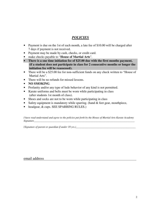# *POLICIES*

- Payment is due on the 1st of each month, a late fee of \$10.00 will be charged after 7 days if payment is not received.
- Payment may be made by cash, checks, or credit card.
- make checks payable to "**House of Martial Arts**".
- **There is a one time initiation fee of \$25.00 due with the first months payment, (if a student does not participate in class for 2 consecutive months or longer the initiation fee will be reassessed).**
- There will be a \$25.00 fee for non-sufficient funds on any check written to "House of Martial Arts".
- There will be no refunds for missed lessons.
- **NO SMOKING**.
- Profanity and/or any type of lude behavior of any kind is not permitted.
- Karate uniforms and belts must be worn while participating in class (after students 1st month of class).
- Shoes and socks are not to be worn while participating in class
- Safety equipment is mandatory while sparring. (hand & feet gear, mouthpiece,
- headgear, & cups. SEE SPARRING RULES.)

*I have read understand and agree to the policies put forth by the House of Martial Arts Karate Academy Signature* 

*(Signature of parent or guardian if under 18 yrs*.*)*\_\_\_\_\_\_\_\_\_\_\_\_\_\_\_\_\_\_\_\_\_\_\_\_\_\_\_\_\_\_\_\_\_\_\_\_\_\_\_\_\_\_\_\_\_

email address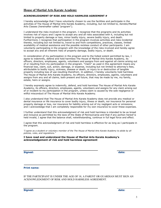#### **House of Martial Arts Karate Academy**

#### ACKNOWLEDGMENT OF RISK AND HOLD HARMLESS AGREEMENT #

I hereby acknowledge that I have voluntarily chosen to use the facilities and participate in the activities of The House of Martial Arts Karate Academy, including, but not limited to, Aerobic/Martial Arts Classes (hereinafter called "program").

I understand the risks involved in the program. I recognize that the programs and its activities involves risk of injury and I agree to accept any and all risks associated with it, including but not limited to property damage or loss, minor bodily injury, severe bodily injury, and death. Furthermore, I recognize that participation in the program involves activities and risks incidental thereto, including but not limited to, travel to and from competitions, practices, classes, limited availability of medical assistance and the possible reckless conduct of other participants. I am voluntarily participating in the program with the knowledge of the risks involved and hereby agree to accept any and all inherent risks of property damage, bodily injury, or death.

In consideration of my participation in the program and to the fullest extent permitted by law, I agree to indemnify, defend and hold harmless The House of Martial Arts Karate Academy, its officers, directors, employees, agents, volunteers and assigns from and against all claims arising out of or resulting from my participation in the program. "Claim" as used in this agreement means any financial loss, claim, suit, action, damage, or expense, including but not limited to attorney's fees, attributable to bodily injury, sickness, disease or death, or injury to or destruction of tangible property including loss of use resulting therefrom. In addition, I hereby voluntarily hold harmless The House of Martial Arts Karate Academy, its officers, directors, employees, agents, volunteers and assigns from any and all claims, both present and future, that may be made by me, my family, estate, heirs or assigns.

I hereby expressly agree to indemnify, defend, and hold harmless The House of Martial Arts Karate Academy, its officers, directors, employees, agents, volunteers and assigns for any claim arising out of or incident to my participation in the program, unless claim is caused by the sole negligence or willful misconduct of The House of Martial Arts Karate Academy.

I also understand that The House of Martial Arts Karate Academy does not provide any medical or dental insurance or life insurance to cover bodily injury, illness or death, nor insurance for personal property damage or loss, nor insurance for liability arising out of my negligent acts or omissions; and I acknowledge that I am completely responsible for my own insurance to cover these expenses.

I further understand that this acknowledgment of risk and hold harmless is intended to be as broad and inclusive as permitted by the laws of the State of Pennsylvania and that if any portion hereof is held invalid, I agree that the balance shall, notwithstanding, continue in full legal force and effect.

I agree that this acknowledgment of risk and hold harmless is effective for as long as I participate in the program.

"I agree as a student or voluntary member of the The House of Martial Arts Karate Academy to abide by all policies, rules, and regulations."

I have read and understand the House of Martial Arts Karate Academy's acknowledgement of risk and hold harmless agreement

\_\_\_\_\_\_\_\_\_\_\_\_\_\_\_\_\_\_\_\_\_\_\_\_\_\_\_\_\_\_\_\_\_\_\_\_\_\_\_\_

 $\frac{1}{2}$  , and the set of the set of the set of the set of the set of the set of the set of the set of the set of the set of the set of the set of the set of the set of the set of the set of the set of the set of the set

Signed: date:

#### Print name:

IF THE PARTICIPANT IS UNDER THE AGE OF 18, A PARENT OR GUARDIAN MUST SIGN AN ACKNOWLEDGMENT OF RISK AND HOLD HARMLESS AGREEMENT.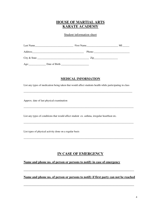### **HOUSE OF MARTIAL ARTS KARATE ACADEMY**

Student information sheet

| Last Name | <u> 1980 - Jan James James Barbara, martin da shekara 1980 - 1981 - 1982 - 1982 - 1983 - 1984 - 1986 - 1986 - 19</u> | First Name | MI. |
|-----------|----------------------------------------------------------------------------------------------------------------------|------------|-----|
| Address   | <u> 1980 - John Stein, Amerikaansk politiker († 1908)</u>                                                            |            |     |
|           |                                                                                                                      |            |     |
| Age:      | Date of Birth                                                                                                        |            |     |

#### **MEDICAL INFORMATION**

List any types of medication being taken that would affect students health while participating in class

\_\_\_\_\_\_\_\_\_\_\_\_\_\_\_\_\_\_\_\_\_\_\_\_\_\_\_\_\_\_\_\_\_\_\_\_\_\_\_\_\_\_\_\_\_\_\_\_\_\_\_\_\_\_\_\_\_\_\_\_\_\_\_\_\_\_\_\_\_\_\_\_\_\_\_\_\_\_\_\_\_\_

\_\_\_\_\_\_\_\_\_\_\_\_\_\_\_\_\_\_\_\_\_\_\_\_\_\_\_\_\_\_\_\_\_\_\_\_\_\_\_\_\_\_\_\_\_\_\_\_\_\_\_\_\_\_\_\_\_\_\_\_\_\_\_\_\_\_\_\_\_\_\_\_\_\_\_\_\_\_\_\_\_\_\_

\_\_\_\_\_\_\_\_\_\_\_\_\_\_\_\_\_\_\_\_\_\_\_\_\_\_\_\_\_\_\_\_\_\_\_\_\_\_\_\_\_\_\_\_\_\_\_\_\_\_\_\_\_\_\_\_\_\_\_\_\_\_\_\_\_\_\_\_\_\_\_\_\_\_\_\_\_\_\_\_\_\_\_

\_\_\_\_\_\_\_\_\_\_\_\_\_\_\_\_\_\_\_\_\_\_\_\_\_\_\_\_\_\_\_\_\_\_\_\_\_\_\_\_\_\_\_\_\_\_\_\_\_\_\_\_\_\_\_\_\_\_\_\_\_\_\_\_\_\_\_\_\_\_\_\_\_\_\_\_\_\_\_\_\_\_\_

Approx. date of last physical examination

List any types of conditions that would affect student ex. asthma, irregular heartbeat etc.

List types of physical activity done on a regular basis

### **IN CASE OF EMERGENCY**

#### **Name and phone no. of person or persons to notify in case of emergency**

**Name and phone no. of person or persons to notify if first party can not be reached** 

\_\_\_\_\_\_\_\_\_\_\_\_\_\_\_\_\_\_\_\_\_\_\_\_\_\_\_\_\_\_\_\_\_\_\_\_\_\_\_\_\_\_\_\_\_\_\_\_\_\_\_\_\_\_\_\_\_\_\_\_\_\_\_\_\_\_\_\_\_\_

\_\_\_\_\_\_\_\_\_\_\_\_\_\_\_\_\_\_\_\_\_\_\_\_\_\_\_\_\_\_\_\_\_\_\_\_\_\_\_\_\_\_\_\_\_\_\_\_\_\_\_\_\_\_\_\_\_\_\_\_\_\_\_\_\_\_\_\_\_\_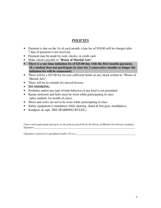# *POLICIES*

- Payment is due on the 1st of each month, a late fee of \$10.00 will be charged after 7 days if payment is not received.
- Payment may be made by cash, checks, or credit card.
- Make checks payable to "**House of Martial Arts**".
- **There is a one time initiation fee of \$25.00 due with the first months payment, (if a student does not participate in class for 2 consecutive months or longer the initiation fee will be reassessed).**
- There will be a \$25.00 fee for non-sufficient funds on any check written to "House of Martial Arts".
- There will be no refunds for missed lessons.
- **NO SMOKING**.
- Profanity and/or any type of lude behavior of any kind is not permitted.
- Karate uniforms and belts must be worn while participating in class (after students 1st month of class).
- Shoes and socks are not to be worn while participating in class
- Safety equipment is mandatory while sparring. (hand & feet gear, mouthpiece,
- headgear, & cups. SEE SPARRING RULES.)

*I have read understand and agree to the policies put forth by the House of Martial Arts Karate Academy Signature*\_\_\_\_\_\_\_\_\_\_\_\_\_\_\_\_\_\_\_\_\_\_\_\_\_\_\_\_\_\_\_\_\_\_\_\_\_\_\_\_\_\_\_\_\_\_\_\_\_\_\_\_\_\_\_\_\_\_\_\_\_\_\_\_\_\_\_\_\_\_\_\_\_\_\_\_

*(Signature of parent or guardian if under 18 yrs.)*